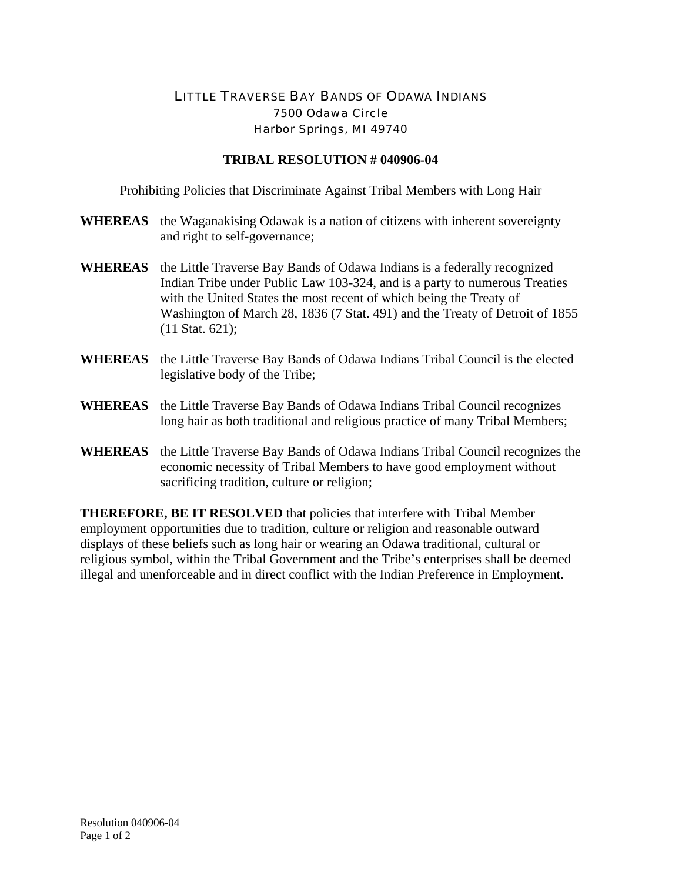## LITTLE TRAVERSE BAY BANDS OF ODAWA INDIANS 7500 Odawa Circle Harbor Springs, MI 49740

## **TRIBAL RESOLUTION # 040906-04**

Prohibiting Policies that Discriminate Against Tribal Members with Long Hair

- **WHEREAS** the Waganakising Odawak is a nation of citizens with inherent sovereignty and right to self-governance;
- **WHEREAS** the Little Traverse Bay Bands of Odawa Indians is a federally recognized Indian Tribe under Public Law 103-324, and is a party to numerous Treaties with the United States the most recent of which being the Treaty of Washington of March 28, 1836 (7 Stat. 491) and the Treaty of Detroit of 1855 (11 Stat. 621);
- **WHEREAS** the Little Traverse Bay Bands of Odawa Indians Tribal Council is the elected legislative body of the Tribe;
- **WHEREAS** the Little Traverse Bay Bands of Odawa Indians Tribal Council recognizes long hair as both traditional and religious practice of many Tribal Members;
- **WHEREAS** the Little Traverse Bay Bands of Odawa Indians Tribal Council recognizes the economic necessity of Tribal Members to have good employment without sacrificing tradition, culture or religion;

**THEREFORE, BE IT RESOLVED** that policies that interfere with Tribal Member employment opportunities due to tradition, culture or religion and reasonable outward displays of these beliefs such as long hair or wearing an Odawa traditional, cultural or religious symbol, within the Tribal Government and the Tribe's enterprises shall be deemed illegal and unenforceable and in direct conflict with the Indian Preference in Employment.